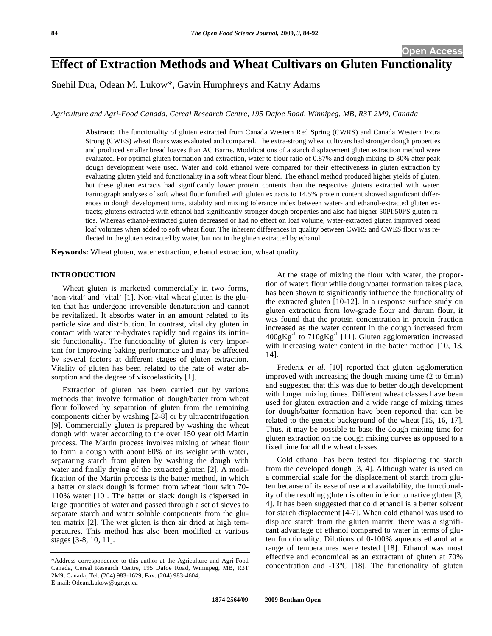# **Effect of Extraction Methods and Wheat Cultivars on Gluten Functionality**

Snehil Dua, Odean M. Lukow\*, Gavin Humphreys and Kathy Adams

*Agriculture and Agri-Food Canada, Cereal Research Centre, 195 Dafoe Road, Winnipeg, MB, R3T 2M9, Canada* 

**Abstract:** The functionality of gluten extracted from Canada Western Red Spring (CWRS) and Canada Western Extra Strong (CWES) wheat flours was evaluated and compared. The extra-strong wheat cultivars had stronger dough properties and produced smaller bread loaves than AC Barrie. Modifications of a starch displacement gluten extraction method were evaluated. For optimal gluten formation and extraction, water to flour ratio of 0.87% and dough mixing to 30% after peak dough development were used. Water and cold ethanol were compared for their effectiveness in gluten extraction by evaluating gluten yield and functionality in a soft wheat flour blend. The ethanol method produced higher yields of gluten, but these gluten extracts had significantly lower protein contents than the respective glutens extracted with water. Farinograph analyses of soft wheat flour fortified with gluten extracts to 14.5% protein content showed significant differences in dough development time, stability and mixing tolerance index between water- and ethanol-extracted gluten extracts; glutens extracted with ethanol had significantly stronger dough properties and also had higher 50PI:50PS gluten ratios. Whereas ethanol-extracted gluten decreased or had no effect on loaf volume, water-extracted gluten improved bread loaf volumes when added to soft wheat flour. The inherent differences in quality between CWRS and CWES flour was reflected in the gluten extracted by water, but not in the gluten extracted by ethanol.

**Keywords:** Wheat gluten, water extraction, ethanol extraction, wheat quality.

# **INTRODUCTION**

Wheat gluten is marketed commercially in two forms, 'non-vital' and 'vital' [1]. Non-vital wheat gluten is the gluten that has undergone irreversible denaturation and cannot be revitalized. It absorbs water in an amount related to its particle size and distribution. In contrast, vital dry gluten in contact with water re-hydrates rapidly and regains its intrinsic functionality. The functionality of gluten is very important for improving baking performance and may be affected by several factors at different stages of gluten extraction. Vitality of gluten has been related to the rate of water absorption and the degree of viscoelasticity [1].

Extraction of gluten has been carried out by various methods that involve formation of dough/batter from wheat flour followed by separation of gluten from the remaining components either by washing [2-8] or by ultracentrifugation [9]. Commercially gluten is prepared by washing the wheat dough with water according to the over 150 year old Martin process. The Martin process involves mixing of wheat flour to form a dough with about 60% of its weight with water, separating starch from gluten by washing the dough with water and finally drying of the extracted gluten [2]. A modification of the Martin process is the batter method, in which a batter or slack dough is formed from wheat flour with 70- 110% water [10]. The batter or slack dough is dispersed in large quantities of water and passed through a set of sieves to separate starch and water soluble components from the gluten matrix [2]. The wet gluten is then air dried at high temperatures. This method has also been modified at various stages [3-8, 10, 11].

At the stage of mixing the flour with water, the proportion of water: flour while dough/batter formation takes place, has been shown to significantly influence the functionality of the extracted gluten [10-12]. In a response surface study on gluten extraction from low-grade flour and durum flour, it was found that the protein concentration in protein fraction increased as the water content in the dough increased from  $400gKg^{-1}$  to  $710gKg^{-1}$  [11]. Gluten agglomeration increased with increasing water content in the batter method [10, 13, 14].

Frederix *et al.* [10] reported that gluten agglomeration improved with increasing the dough mixing time (2 to 6min) and suggested that this was due to better dough development with longer mixing times. Different wheat classes have been used for gluten extraction and a wide range of mixing times for dough/batter formation have been reported that can be related to the genetic background of the wheat [15, 16, 17]. Thus, it may be possible to base the dough mixing time for gluten extraction on the dough mixing curves as opposed to a fixed time for all the wheat classes.

Cold ethanol has been tested for displacing the starch from the developed dough [3, 4]. Although water is used on a commercial scale for the displacement of starch from gluten because of its ease of use and availability, the functionality of the resulting gluten is often inferior to native gluten [3, 4]. It has been suggested that cold ethanol is a better solvent for starch displacement [4-7]. When cold ethanol was used to displace starch from the gluten matrix, there was a significant advantage of ethanol compared to water in terms of gluten functionality. Dilutions of 0-100% aqueous ethanol at a range of temperatures were tested [18]. Ethanol was most effective and economical as an extractant of gluten at 70% concentration and -13ºC [18]. The functionality of gluten

<sup>\*</sup>Address correspondence to this author at the Agriculture and Agri-Food Canada, Cereal Research Centre, 195 Dafoe Road, Winnipeg, MB, R3T 2M9, Canada; Tel: (204) 983-1629; Fax: (204) 983-4604; E-mail: Odean.Lukow@agr.gc.ca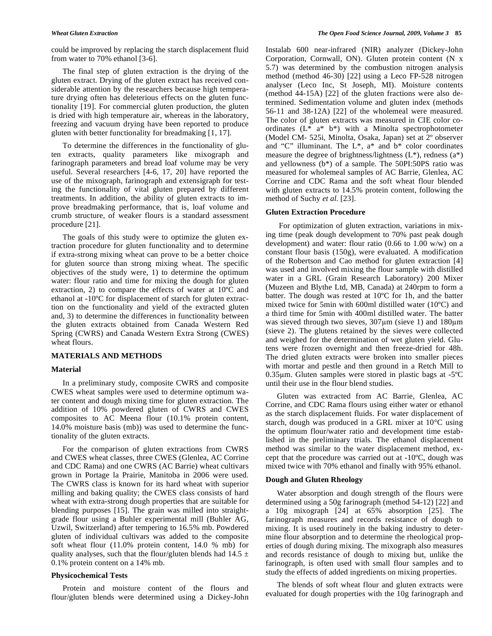could be improved by replacing the starch displacement fluid from water to 70% ethanol [3-6].

The final step of gluten extraction is the drying of the gluten extract. Drying of the gluten extract has received considerable attention by the researchers because high temperature drying often has deleterious effects on the gluten functionality [19]. For commercial gluten production, the gluten is dried with high temperature air, whereas in the laboratory, freezing and vacuum drying have been reported to produce gluten with better functionality for breadmaking [1, 17].

To determine the differences in the functionality of gluten extracts, quality parameters like mixograph and farinograph parameters and bread loaf volume may be very useful. Several researchers [4-6, 17, 20] have reported the use of the mixograph, farinograph and extensigraph for testing the functionality of vital gluten prepared by different treatments. In addition, the ability of gluten extracts to improve breadmaking performance, that is, loaf volume and crumb structure, of weaker flours is a standard assessment procedure [21].

The goals of this study were to optimize the gluten extraction procedure for gluten functionality and to determine if extra-strong mixing wheat can prove to be a better choice for gluten source than strong mixing wheat. The specific objectives of the study were, 1) to determine the optimum water: flour ratio and time for mixing the dough for gluten extraction, 2) to compare the effects of water at 10ºC and ethanol at -10ºC for displacement of starch for gluten extraction on the functionality and yield of the extracted gluten and, 3) to determine the differences in functionality between the gluten extracts obtained from Canada Western Red Spring (CWRS) and Canada Western Extra Strong (CWES) wheat flours.

# **MATERIALS AND METHODS**

# **Material**

In a preliminary study, composite CWRS and composite CWES wheat samples were used to determine optimum water content and dough mixing time for gluten extraction. The addition of 10% powdered gluten of CWRS and CWES composites to AC Meena flour (10.1% protein content, 14.0% moisture basis (mb)) was used to determine the functionality of the gluten extracts.

For the comparison of gluten extractions from CWRS and CWES wheat classes, three CWES (Glenlea, AC Corrine and CDC Rama) and one CWRS (AC Barrie) wheat cultivars grown in Portage la Prairie, Manitoba in 2006 were used. The CWRS class is known for its hard wheat with superior milling and baking quality; the CWES class consists of hard wheat with extra-strong dough properties that are suitable for blending purposes [15]. The grain was milled into straightgrade flour using a Buhler experimental mill (Buhler AG, Uzwil, Switzerland) after tempering to 16.5% mb. Powdered gluten of individual cultivars was added to the composite soft wheat flour (11.0% protein content, 14.0 % mb) for quality analyses, such that the flour/gluten blends had  $14.5 \pm$ 0.1% protein content on a 14% mb.

# **Physicochemical Tests**

Protein and moisture content of the flours and flour/gluten blends were determined using a Dickey-John Instalab 600 near-infrared (NIR) analyzer (Dickey-John Corporation, Cornwall, ON). Gluten protein content (N x 5.7) was determined by the combustion nitrogen analysis method (method 46-30) [22] using a Leco FP-528 nitrogen analyser (Leco Inc, St Joseph, MI). Moisture contents (method 44-15A) [22] of the gluten fractions were also determined. Sedimentation volume and gluten index (methods 56-11 and 38-12A) [22] of the wholemeal were measured. The color of gluten extracts was measured in CIE color coordinates (L\* a\* b\*) with a Minolta spectrophotometer (Model CM- 525i, Minolta, Osaka, Japan) set at 2º observer and "C" illuminant. The  $L^*$ ,  $a^*$  and  $b^*$  color coordinates measure the degree of brightness/lightness  $(L^*)$ , redness  $(a^*)$ and yellowness (b\*) of a sample. The 50PI:50PS ratio was measured for wholemeal samples of AC Barrie, Glenlea, AC Corrine and CDC Rama and the soft wheat flour blended with gluten extracts to 14.5% protein content, following the method of Suchy *et al*. [23].

# **Gluten Extraction Procedure**

 For optimization of gluten extraction, variations in mixing time (peak dough development to 70% past peak dough development) and water: flour ratio  $(0.66 \text{ to } 1.00 \text{ w/w})$  on a constant flour basis (150g), were evaluated. A modification of the Robertson and Cao method for gluten extraction [4] was used and involved mixing the flour sample with distilled water in a GRL (Grain Research Laboratory) 200 Mixer (Muzeen and Blythe Ltd, MB, Canada) at 240rpm to form a batter. The dough was rested at 10ºC for 1h, and the batter mixed twice for 5min with 600ml distilled water (10ºC) and a third time for 5min with 400ml distilled water. The batter was sieved through two sieves,  $307 \mu m$  (sieve 1) and  $180 \mu m$ (sieve 2). The glutens retained by the sieves were collected and weighed for the determination of wet gluten yield. Glutens were frozen overnight and then freeze-dried for 48h. The dried gluten extracts were broken into smaller pieces with mortar and pestle and then ground in a Retch Mill to 0.35 $\mu$ m. Gluten samples were stored in plastic bags at -5 $\rm{^{\circ}C}$ until their use in the flour blend studies.

Gluten was extracted from AC Barrie, Glenlea, AC Corrine, and CDC Rama flours using either water or ethanol as the starch displacement fluids. For water displacement of starch, dough was produced in a GRL mixer at 10°C using the optimum flour/water ratio and development time established in the preliminary trials. The ethanol displacement method was similar to the water displacement method, except that the procedure was carried out at -10ºC, dough was mixed twice with 70% ethanol and finally with 95% ethanol.

# **Dough and Gluten Rheology**

Water absorption and dough strength of the flours were determined using a 50g farinograph (method 54-12) [22] and a 10g mixograph [24] at 65% absorption [25]. The farinograph measures and records resistance of dough to mixing. It is used routinely in the baking industry to determine flour absorption and to determine the rheological properties of dough during mixing. The mixograph also measures and records resistance of dough to mixing but, unlike the farinograph, is often used with small flour samples and to study the effects of added ingredients on mixing properties.

The blends of soft wheat flour and gluten extracts were evaluated for dough properties with the 10g farinograph and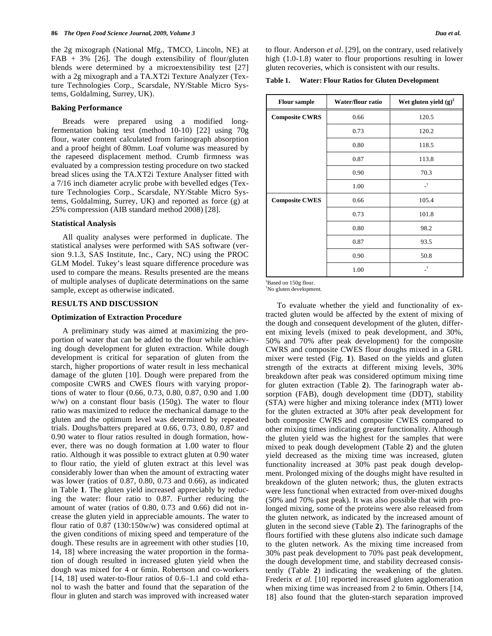the 2g mixograph (National Mfg., TMCO, Lincoln, NE) at  $FAB + 3\%$  [26]. The dough extensibility of flour/gluten blends were determined by a microextensibility test [27] with a 2g mixograph and a TA.XT2i Texture Analyzer (Texture Technologies Corp., Scarsdale, NY/Stable Micro Systems, Goldalming, Surrey, UK).

### **Baking Performance**

Breads were prepared using a modified longfermentation baking test (method 10-10) [22] using 70g flour, water content calculated from farinograph absorption and a proof height of 80mm. Loaf volume was measured by the rapeseed displacement method. Crumb firmness was evaluated by a compression testing procedure on two stacked bread slices using the TA.XT2i Texture Analyser fitted with a 7/16 inch diameter acrylic probe with bevelled edges (Texture Technologies Corp., Scarsdale, NY/Stable Micro Systems, Goldalming, Surrey, UK) and reported as force (g) at 25% compression (AIB standard method 2008) [28].

# **Statistical Analysis**

All quality analyses were performed in duplicate. The statistical analyses were performed with SAS software (version 9.1.3, SAS Institute, Inc., Cary, NC) using the PROC GLM Model. Tukey's least square difference procedure was used to compare the means. Results presented are the means of multiple analyses of duplicate determinations on the same sample, except as otherwise indicated.

# **RESULTS AND DISCUSSION**

#### **Optimization of Extraction Procedure**

A preliminary study was aimed at maximizing the proportion of water that can be added to the flour while achieving dough development for gluten extraction. While dough development is critical for separation of gluten from the starch, higher proportions of water result in less mechanical damage of the gluten [10]. Dough were prepared from the composite CWRS and CWES flours with varying proportions of water to flour (0.66, 0.73, 0.80, 0.87, 0.90 and 1.00 w/w) on a constant flour basis (150g). The water to flour ratio was maximized to reduce the mechanical damage to the gluten and the optimum level was determined by repeated trials. Doughs/batters prepared at 0.66, 0.73, 0.80, 0.87 and 0.90 water to flour ratios resulted in dough formation, however, there was no dough formation at 1.00 water to flour ratio. Although it was possible to extract gluten at 0.90 water to flour ratio, the yield of gluten extract at this level was considerably lower than when the amount of extracting water was lower (ratios of 0.87, 0.80, 0.73 and 0.66), as indicated in Table **1**. The gluten yield increased appreciably by reducing the water: flour ratio to 0.87. Further reducing the amount of water (ratios of 0.80, 0.73 and 0.66) did not increase the gluten yield in appreciable amounts. The water to flour ratio of 0.87 (130:150w/w) was considered optimal at the given conditions of mixing speed and temperature of the dough. These results are in agreement with other studies [10, 14, 18] where increasing the water proportion in the formation of dough resulted in increased gluten yield when the dough was mixed for 4 or 6min. Robertson and co-workers [14, 18] used water-to-flour ratios of 0.6–1.1 and cold ethanol to wash the batter and found that the separation of the flour in gluten and starch was improved with increased water to flour. Anderson *et al*. [29], on the contrary, used relatively high  $(1.0-1.8)$  water to flour proportions resulting in lower gluten recoveries, which is consistent with our results.

**Table 1. Water: Flour Ratios for Gluten Development** 

| <b>Flour sample</b>   | Water/flour ratio | Wet gluten yield $(g)^{\ddagger}$ |  |  |
|-----------------------|-------------------|-----------------------------------|--|--|
| <b>Composite CWRS</b> | 0.66              | 120.5                             |  |  |
|                       | 0.73              | 120.2                             |  |  |
|                       | 0.80              | 118.5                             |  |  |
|                       | 0.87              | 113.8                             |  |  |
|                       | 0.90              | 70.3                              |  |  |
|                       | 1.00              | $\vec{r}$                         |  |  |
| <b>Composite CWES</b> | 0.66              | 105.4                             |  |  |
|                       | 0.73              | 101.8                             |  |  |
|                       | 0.80              | 98.2                              |  |  |
|                       | 0.87              | 93.5                              |  |  |
|                       | 0.90              | 50.8                              |  |  |
|                       | 1.00              | $\mathcal{A}$                     |  |  |

‡ Based on 150g flour.

† No gluten development.

To evaluate whether the yield and functionality of extracted gluten would be affected by the extent of mixing of the dough and consequent development of the gluten, different mixing levels (mixed to peak development, and 30%, 50% and 70% after peak development) for the composite CWRS and composite CWES flour doughs mixed in a GRL mixer were tested (Fig. **1**). Based on the yields and gluten strength of the extracts at different mixing levels, 30% breakdown after peak was considered optimum mixing time for gluten extraction (Table **2**). The farinograph water absorption (FAB), dough development time (DDT), stability (STA) were higher and mixing tolerance index (MTI) lower for the gluten extracted at 30% after peak development for both composite CWRS and composite CWES compared to other mixing times indicating greater functionality. Although the gluten yield was the highest for the samples that were mixed to peak dough development (Table **2**) and the gluten yield decreased as the mixing time was increased, gluten functionality increased at 30% past peak dough development. Prolonged mixing of the doughs might have resulted in breakdown of the gluten network; thus, the gluten extracts were less functional when extracted from over-mixed doughs (50% and 70% past peak). It was also possible that with prolonged mixing, some of the proteins were also released from the gluten network, as indicated by the increased amount of gluten in the second sieve (Table **2**). The farinographs of the flours fortified with these glutens also indicate such damage to the gluten network. As the mixing time increased from 30% past peak development to 70% past peak development, the dough development time, and stability decreased consistently (Table **2**) indicating the weakening of the gluten. Frederix *et al.* [10] reported increased gluten agglomeration when mixing time was increased from 2 to 6min. Others [14, 18] also found that the gluten-starch separation improved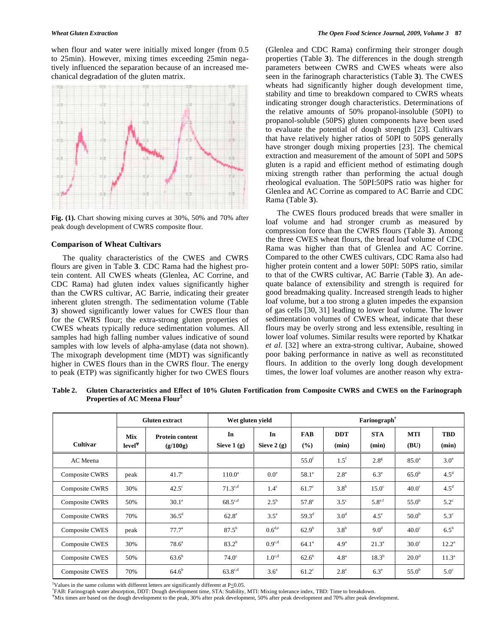when flour and water were initially mixed longer (from 0.5 to 25min). However, mixing times exceeding 25min negatively influenced the separation because of an increased mechanical degradation of the gluten matrix.



**Fig. (1).** Chart showing mixing curves at 30%, 50% and 70% after peak dough development of CWRS composite flour.

# **Comparison of Wheat Cultivars**

The quality characteristics of the CWES and CWRS flours are given in Table **3**. CDC Rama had the highest protein content. All CWES wheats (Glenlea, AC Corrine, and CDC Rama) had gluten index values significantly higher than the CWRS cultivar, AC Barrie, indicating their greater inherent gluten strength. The sedimentation volume (Table **3**) showed significantly lower values for CWES flour than for the CWRS flour; the extra-strong gluten properties of CWES wheats typically reduce sedimentation volumes. All samples had high falling number values indicative of sound samples with low levels of alpha-amylase (data not shown). The mixograph development time (MDT) was significantly higher in CWES flours than in the CWRS flour. The energy to peak (ETP) was significantly higher for two CWES flours

(Glenlea and CDC Rama) confirming their stronger dough properties (Table **3**). The differences in the dough strength parameters between CWRS and CWES wheats were also seen in the farinograph characteristics (Table **3**). The CWES wheats had significantly higher dough development time, stability and time to breakdown compared to CWRS wheats indicating stronger dough characteristics. Determinations of the relative amounts of 50% propanol-insoluble (50PI) to propanol-soluble (50PS) gluten components have been used to evaluate the potential of dough strength [23]. Cultivars that have relatively higher ratios of 50PI to 50PS generally have stronger dough mixing properties [23]. The chemical extraction and measurement of the amount of 50PI and 50PS gluten is a rapid and efficient method of estimating dough mixing strength rather than performing the actual dough rheological evaluation. The 50PI:50PS ratio was higher for Glenlea and AC Corrine as compared to AC Barrie and CDC Rama (Table **3**).

The CWES flours produced breads that were smaller in loaf volume and had stronger crumb as measured by compression force than the CWRS flours (Table **3**). Among the three CWES wheat flours, the bread loaf volume of CDC Rama was higher than that of Glenlea and AC Corrine. Compared to the other CWES cultivars, CDC Rama also had higher protein content and a lower 50PI: 50PS ratio, similar to that of the CWRS cultivar, AC Barrie (Table **3**). An adequate balance of extensibility and strength is required for good breadmaking quality. Increased strength leads to higher loaf volume, but a too strong a gluten impedes the expansion of gas cells [30, 31] leading to lower loaf volume. The lower sedimentation volumes of CWES wheat, indicate that these flours may be overly strong and less extensible, resulting in lower loaf volumes. Similar results were reported by Khatkar *et al*. [32] where an extra-strong cultivar, Aubaine, showed poor baking performance in native as well as reconstituted flours. In addition to the overly long dough development times, the lower loaf volumes are another reason why extra-

**Table 2. Gluten Characteristics and Effect of 10% Gluten Fortification from Composite CWRS and CWES on the Farinograph Properties of AC Meena Flour‡**

|                       | <b>Gluten extract</b><br><b>Mix</b><br><b>Protein content</b><br>$level^{\Psi}$<br>(g/100g) |                | Wet gluten yield    |                    | Farinograph <sup>†</sup> |                     |                     |                    |                     |  |
|-----------------------|---------------------------------------------------------------------------------------------|----------------|---------------------|--------------------|--------------------------|---------------------|---------------------|--------------------|---------------------|--|
| <b>Cultivar</b>       |                                                                                             |                | In<br>Sieve $1(g)$  | In<br>Sieve $2(g)$ | <b>FAB</b><br>(%)        | <b>DDT</b><br>(min) | <b>STA</b><br>(min) | <b>MTI</b><br>(BU) | <b>TBD</b><br>(min) |  |
| AC Meena              |                                                                                             |                |                     |                    | 55.0 <sup>f</sup>        | $1.5^{\rm f}$       | $2.8^{\rm g}$       | 85.0 <sup>a</sup>  | $3.0^\circ$         |  |
| Composite CWRS        | peak                                                                                        | $41.7^\circ$   | $110.0^a$           | 0.0 <sup>e</sup>   | $58.1^\circ$             | $2.8^{\circ}$       | $6.3^e$             | $65.0^{\rm b}$     | $4.5^d$             |  |
| Composite CWRS        | 30%                                                                                         | $42.5^\circ$   | $71.3^{c,d}$        | $1.4^\circ$        | $61.7^\circ$             | 3.8 <sup>b</sup>    | $15.0^\circ$        | 40.0 <sup>c</sup>  | 4.5 <sup>d</sup>    |  |
| Composite CWRS        | 50%                                                                                         | $30.1^\circ$   | $68.5^{\text{c,d}}$ | $2.5^{\rm b}$      | $57.8^\circ$             | $3.5^\circ$         | $5.8^{\rm e,f}$     | $55.0^{\rm b}$     | $5.2^{\circ}$       |  |
| Composite CWRS        | 70%                                                                                         | $36.5^{\rm d}$ | $62.8^e$            | $3.5^{\circ}$      | $59.3^{\rm d}$           | 3.0 <sup>d</sup>    | $4.5^{\circ}$       | 50.0 <sup>b</sup>  | $5.3^\circ$         |  |
| <b>Composite CWES</b> | peak                                                                                        | $77.7^{\circ}$ | $87.5^{b}$          | $0.6^{\text{d,e}}$ | $62.9^{b}$               | 3.8 <sup>b</sup>    | 9.0 <sup>d</sup>    | 40.0 <sup>c</sup>  | $6.5^{\rm b}$       |  |
| <b>Composite CWES</b> | 30%                                                                                         | $78.6^{\circ}$ | $83.2^{b}$          | $0.9^{\text{c,d}}$ | $64.1^{\circ}$           | 4.9 <sup>a</sup>    | $21.3^{\circ}$      | $30.0^\circ$       | $12.2^{\circ}$      |  |
| <b>Composite CWES</b> | 50%                                                                                         | $63.6^{b}$     | $74.0^\circ$        | $1.0^{\text{c,d}}$ | $62.6^{\rm b}$           | 4.8 <sup>a</sup>    | $18.3^{b}$          | 20.0 <sup>d</sup>  | $11.3^{\circ}$      |  |
| <b>Composite CWES</b> | 70%                                                                                         | $64.6^{b}$     | $63.8^{\text{c,d}}$ | 3.6 <sup>a</sup>   | $61.2^{\circ}$           | $2.8^e$             | $6.3^e$             | $55.0^{\rm b}$     | $5.0^\circ$         |  |

 ${}^{\ddagger}$ Values in the same column with different letters are significantly different at P<0.05.

FAB: Farinograph water absorption, DDT: Dough development time, STA: Stability, MTI: Mixing tolerance index, TBD: Time to breakdown.

Mix times are based on the dough development to the peak, 30% after peak development, 50% after peak development and 70% after peak development.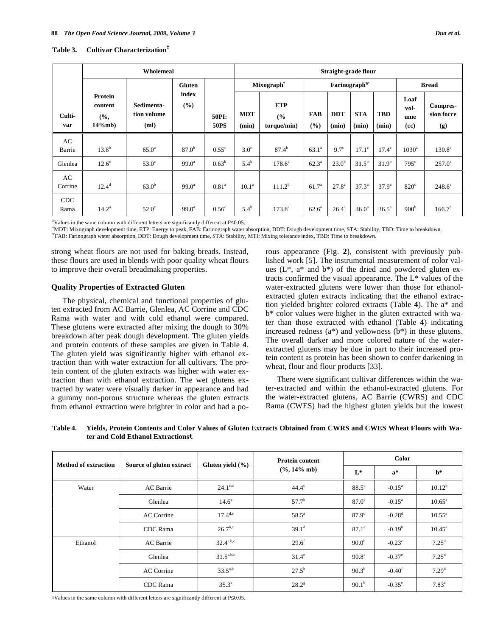# **Table 3. Cultivar Characterization‡**

|                    | Wholemeal                    |                                   |                        |                      | Straight-grade flour |                                  |                          |                     |                     |                     |                             |                               |
|--------------------|------------------------------|-----------------------------------|------------------------|----------------------|----------------------|----------------------------------|--------------------------|---------------------|---------------------|---------------------|-----------------------------|-------------------------------|
|                    | <b>Gluten</b>                |                                   | Mixograph <sup>†</sup> |                      |                      |                                  | Farinograph <sup>¥</sup> |                     |                     | <b>Bread</b>        |                             |                               |
| Culti-<br>var      | Protein<br>content<br>14%mb) | Sedimenta-<br>tion volume<br>(ml) | index<br>(%)           | 50PI:<br><b>50PS</b> | <b>MDT</b><br>(min)  | <b>ETP</b><br>(%)<br>torque/min) | <b>FAB</b><br>(%)        | <b>DDT</b><br>(min) | <b>STA</b><br>(min) | <b>TBD</b><br>(min) | Loaf<br>vol-<br>ume<br>(cc) | Compres-<br>sion force<br>(g) |
| AC                 |                              |                                   |                        |                      |                      |                                  |                          |                     |                     |                     |                             |                               |
| Barrie             | $13.8^{b}$                   | 65.0 <sup>a</sup>                 | $87.0^{b}$             | $0.55^{\circ}$       | $3.0^\circ$          | $87.4^{b}$                       | $63.1^a$                 | $9.7^\circ$         | $17.1^\circ$        | $17.4^\circ$        | 1030 <sup>a</sup>           | $130.8^\circ$                 |
| Glenlea            | $12.6^\circ$                 | $53.0^\circ$                      | $99.0^{\circ}$         | $0.63^b$             | $5.4^{\rm b}$        | $178.6^a$                        | $62.3^{\circ}$           | 23.0 <sup>b</sup>   | $31.5^{b}$          | $31.9^{b}$          | $795^\circ$                 | $257.0^a$                     |
| AC<br>Corrine      | $12.4^d$                     | $63.0^{b}$                        | $99.0^{\circ}$         | 0.81 <sup>a</sup>    | 10.1 <sup>a</sup>    | $111.2^b$                        | $61.7^{\circ}$           | $27.8^{\circ}$      | $37.3^{\circ}$      | $37.9^{a}$          | $820^\circ$                 | $248.6^a$                     |
| <b>CDC</b><br>Rama | $14.2^{\circ}$               | $52.0^\circ$                      | $99.0^{\circ}$         | 0.56 <sup>c</sup>    | $5.4^{b}$            | $173.8^{a}$                      | $62.6^{\circ}$           | $26.4^a$            | $36.0^{\circ}$      | $36.5^{\circ}$      | 900 <sup>b</sup>            | 166.7 <sup>b</sup>            |

<sup>‡</sup>Values in the same column with different letters are significantly different at P≤0.05.<br><sup>†</sup>MDT: Mixograph development time. ETP: Fraggat to neek. EAP: Forinograph water.

MDT: Mixograph development time, ETP: Energy to peak, FAB: Farinograph water absorption, DDT: Dough development time, STA: Stability, TBD: Time to breakdown.

FAB: Farinograph water absorption, DDT: Dough development time, STA: Stability, MTI: Mixing tolerance index, TBD: Time to breakdown.

strong wheat flours are not used for baking breads. Instead, these flours are used in blends with poor quality wheat flours to improve their overall breadmaking properties.

# **Quality Properties of Extracted Gluten**

The physical, chemical and functional properties of gluten extracted from AC Barrie, Glenlea, AC Corrine and CDC Rama with water and with cold ethanol were compared. These glutens were extracted after mixing the dough to 30% breakdown after peak dough development. The gluten yields and protein contents of these samples are given in Table **4**. The gluten yield was significantly higher with ethanol extraction than with water extraction for all cultivars. The protein content of the gluten extracts was higher with water extraction than with ethanol extraction. The wet glutens extracted by water were visually darker in appearance and had a gummy non-porous structure whereas the gluten extracts from ethanol extraction were brighter in color and had a porous appearance (Fig. **2**), consistent with previously published work [5]. The instrumental measurement of color values  $(L^*, a^*$  and  $b^*)$  of the dried and powdered gluten extracts confirmed the visual appearance. The L\* values of the water-extracted glutens were lower than those for ethanolextracted gluten extracts indicating that the ethanol extraction yielded brighter colored extracts (Table **4**). The a\* and b\* color values were higher in the gluten extracted with water than those extracted with ethanol (Table **4**) indicating increased redness (a\*) and yellowness (b\*) in these glutens. The overall darker and more colored nature of the waterextracted glutens may be due in part to their increased protein content as protein has been shown to confer darkening in wheat, flour and flour products [33].

There were significant cultivar differences within the water-extracted and within the ethanol-extracted glutens. For the water-extracted glutens, AC Barrie (CWRS) and CDC Rama (CWES) had the highest gluten yields but the lowest

| <b>Method of extraction</b> | Source of gluten extract | Gluten yield $(\% )$ | <b>Protein content</b> | Color          |                      |                   |  |
|-----------------------------|--------------------------|----------------------|------------------------|----------------|----------------------|-------------------|--|
|                             |                          |                      | $(\%$ , 14% mb)        | $L^*$          | $a^*$                | $h^*$             |  |
| Water                       | <b>AC</b> Barrie         | $24.1^{\text{c,d}}$  | $44.4^\circ$           | $88.5^\circ$   | $-0.15^{\circ}$      | $10.12^{b}$       |  |
|                             | Glenlea                  | $14.6^\circ$         | $57.7^{\rm b}$         | $87.0^\circ$   | $-0.15^{\circ}$      | $10.65^{\circ}$   |  |
|                             | <b>AC Corrine</b>        | $17.4^{d,e}$         | $58.5^{\circ}$         | $87.9^{d}$     | $-0.28$ <sup>d</sup> | $10.55^{\circ}$   |  |
|                             | CDC Rama                 | $26.7^{b,c}$         | $39.1^d$               | $87.1^\circ$   | $-0.19b$             | $10.45^{\circ}$   |  |
| Ethanol                     | AC Barrie                | $32.4^{a,b,c}$       | $29.6^{\rm f}$         | $90.0^{b}$     | $-0.23^{\circ}$      | $7.25^{\rm d}$    |  |
|                             | Glenlea                  | $31.5^{a,b,c}$       | $31.4^\circ$           | $90.8^{\circ}$ | $-0.37^{\circ}$      | $7.25^{\rm d}$    |  |
|                             | <b>AC Corrine</b>        | $33.5^{a,b}$         | $27.5^h$               | $90.3^{b}$     | $-0.40f$             | 7.29 <sup>d</sup> |  |
|                             | CDC Rama                 | $35.3^{\circ}$       | $28.2^{\rm g}$         | $90.1^{\rm b}$ | $-0.35^{\circ}$      | $7.83^\circ$      |  |

**Table 4. Yields, Protein Contents and Color Values of Gluten Extracts Obtained from CWRS and CWES Wheat Flours with Water and Cold Ethanol Extractions‡.** 

 $*$ Values in the same column with different letters are significantly different at P $\leq$ 0.05.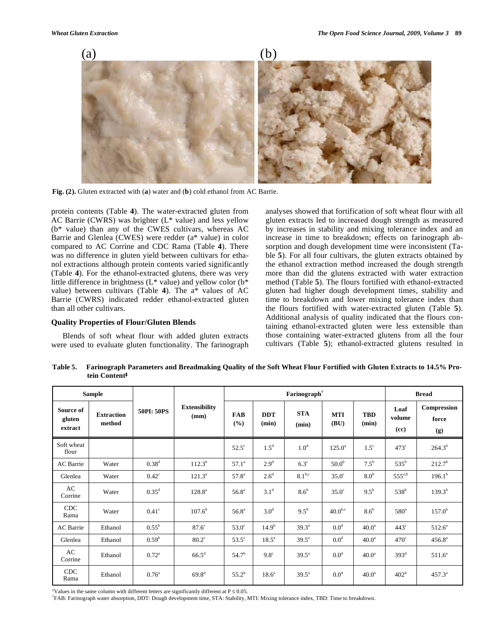

**Fig. (2).** Gluten extracted with (**a**) water and (**b**) cold ethanol from AC Barrie.

protein contents (Table **4**). The water-extracted gluten from AC Barrie (CWRS) was brighter (L\* value) and less yellow (b\* value) than any of the CWES cultivars, whereas AC Barrie and Glenlea (CWES) were redder (a\* value) in color compared to AC Corrine and CDC Rama (Table **4**). There was no difference in gluten yield between cultivars for ethanol extractions although protein contents varied significantly (Table **4**). For the ethanol-extracted glutens, there was very little difference in brightness (L\* value) and yellow color (b\* value) between cultivars (Table **4**). The a\* values of AC Barrie (CWRS) indicated redder ethanol-extracted gluten than all other cultivars.

# **Quality Properties of Flour/Gluten Blends**

Blends of soft wheat flour with added gluten extracts were used to evaluate gluten functionality. The farinograph analyses showed that fortification of soft wheat flour with all gluten extracts led to increased dough strength as measured by increases in stability and mixing tolerance index and an increase in time to breakdown; effects on farinograph absorption and dough development time were inconsistent (Table **5**). For all four cultivars, the gluten extracts obtained by the ethanol extraction method increased the dough strength more than did the glutens extracted with water extraction method (Table **5**). The flours fortified with ethanol-extracted gluten had higher dough development times, stability and time to breakdown and lower mixing tolerance index than the flours fortified with water-extracted gluten (Table **5**). Additional analysis of quality indicated that the flours containing ethanol-extracted gluten were less extensible than those containing water-extracted glutens from all the four cultivars (Table **5**); ethanol-extracted glutens resulted in

**Table 5. Farinograph Parameters and Breadmaking Quality of the Soft Wheat Flour Fortified with Gluten Extracts to 14.5% Protein Content‡**

| <b>Sample</b>                  |                             |                   |                              |                     |                     | <b>Bread</b>        |                    |                     |                        |                             |
|--------------------------------|-----------------------------|-------------------|------------------------------|---------------------|---------------------|---------------------|--------------------|---------------------|------------------------|-----------------------------|
| Source of<br>gluten<br>extract | <b>Extraction</b><br>method | 50PI: 50PS        | <b>Extensibility</b><br>(mm) | <b>FAB</b><br>(9/0) | <b>DDT</b><br>(min) | <b>STA</b><br>(min) | <b>MTI</b><br>(BU) | <b>TBD</b><br>(min) | Loaf<br>volume<br>(cc) | Compression<br>force<br>(g) |
| Soft wheat<br>flour            |                             |                   |                              | $52.5^\circ$        | 1.5 <sup>d</sup>    | 1.0 <sup>d</sup>    | $125.0^a$          | $1.5^{\circ}$       | $473^{\circ}$          | $264.3^{b}$                 |
| AC Barrie                      | Water                       | 0.38 <sup>d</sup> | $112.3^{b}$                  | $57.1^a$            | 2.9 <sup>d</sup>    | $6.3^\circ$         | 50.0 <sup>b</sup>  | $7.5^{\rm b}$       | $535^b$                | 212.7 <sup>b</sup>          |
| Glenlea                        | Water                       | $0.42^{\circ}$    | $121.3^a$                    | 57.8 <sup>a</sup>   | 2.6 <sup>d</sup>    | 8.1 <sup>b,c</sup>  | $35.0^\circ$       | 8.0 <sup>b</sup>    | $555^{a,b}$            | $196.1^{b}$                 |
| AC<br>Corrine                  | Water                       | $0.35^{\rm d}$    | $128.8^a$                    | $56.8^{\circ}$      | 3.1 <sup>d</sup>    | $8.6^b$             | $35.0^\circ$       | $9.5^{\rm b}$       | 538 <sup>b</sup>       | $139.3^{b}$                 |
| CDC<br>Rama                    | Water                       | $0.41^\circ$      | $107.6^{\rm b}$              | $56.8^{\circ}$      | $3.0^d$             | $9.5^{b}$           | $40.0^{b,c}$       | 8.6 <sup>b</sup>    | 580 <sup>a</sup>       | $157.0^{\rm b}$             |
| AC Barrie                      | Ethanol                     | $0.55^{\rm b}$    | $87.6^{\circ}$               | $53.0^\circ$        | $14.9^{b}$          | $39.3^{\circ}$      | 0.0 <sup>d</sup>   | 40.0 <sup>a</sup>   | $443^\circ$            | $512.6^{\circ}$             |
| Glenlea                        | Ethanol                     | 0.59 <sup>b</sup> | $80.2^{\circ}$               | $53.5^\circ$        | $18.5^{\circ}$      | $39.5^{\circ}$      | 0.0 <sup>d</sup>   | 40.0 <sup>a</sup>   | $470^\circ$            | $456.8^{a}$                 |
| AC<br>Corrine                  | Ethanol                     | $0.72^{\text{a}}$ | $66.5^{\rm d}$               | $54.7^{b}$          | $9.8^\circ$         | $39.5^{\circ}$      | $0.0^d$            | $40.0^{\circ}$      | 393 <sup>d</sup>       | $511.6^a$                   |
| CDC<br>Rama                    | Ethanol                     | $0.76^{\circ}$    | $69.8^{d}$                   | $55.2^{b}$          | 18.6 <sup>a</sup>   | $39.5^{\circ}$      | 0.0 <sup>d</sup>   | 40.0 <sup>a</sup>   | 402 <sup>d</sup>       | $457.3^{\circ}$             |

<sup>‡</sup>Values in the same column with different letters are significantly different at  $P \le 0.05$ .<br><sup>†FA</sup> P. Fering graph water absorption. DDT: Daugh daugharmant time. STA: Stability, N

FAB: Farinograph water absorption, DDT: Dough development time, STA: Stability, MTI: Mixing tolerance index, TBD: Time to breakdown.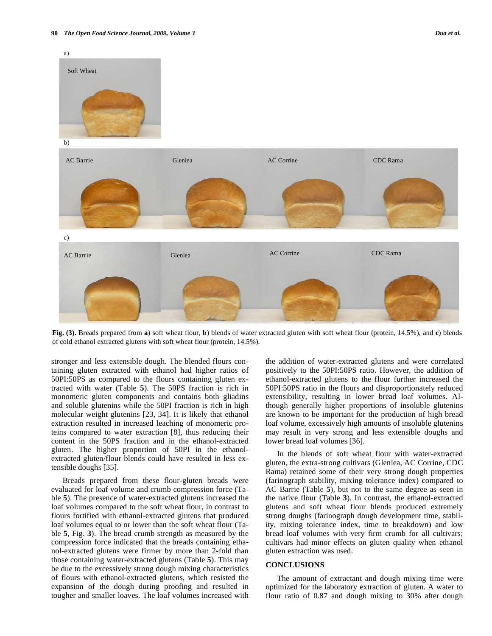

**Fig. (3).** Breads prepared from **a**) soft wheat flour, **b**) blends of water extracted gluten with soft wheat flour (protein, 14.5%), and **c**) blends of cold ethanol extracted glutens with soft wheat flour (protein, 14.5%).

stronger and less extensible dough. The blended flours containing gluten extracted with ethanol had higher ratios of 50PI:50PS as compared to the flours containing gluten extracted with water (Table **5**). The 50PS fraction is rich in monomeric gluten components and contains both gliadins and soluble glutenins while the 50PI fraction is rich in high molecular weight glutenins [23, 34]. It is likely that ethanol extraction resulted in increased leaching of monomeric proteins compared to water extraction [8], thus reducing their content in the 50PS fraction and in the ethanol-extracted gluten. The higher proportion of 50PI in the ethanolextracted gluten/flour blends could have resulted in less extensible doughs [35].

Breads prepared from these flour-gluten breads were evaluated for loaf volume and crumb compression force (Table **5**). The presence of water-extracted glutens increased the loaf volumes compared to the soft wheat flour, in contrast to flours fortified with ethanol-extracted glutens that produced loaf volumes equal to or lower than the soft wheat flour (Table **5**, Fig. **3**). The bread crumb strength as measured by the compression force indicated that the breads containing ethanol-extracted glutens were firmer by more than 2-fold than those containing water-extracted glutens (Table **5**). This may be due to the excessively strong dough mixing characteristics of flours with ethanol-extracted glutens, which resisted the expansion of the dough during proofing and resulted in tougher and smaller loaves. The loaf volumes increased with the addition of water-extracted glutens and were correlated positively to the 50PI:50PS ratio. However, the addition of ethanol-extracted glutens to the flour further increased the 50PI:50PS ratio in the flours and disproportionately reduced extensibility, resulting in lower bread loaf volumes. Although generally higher proportions of insoluble glutenins are known to be important for the production of high bread loaf volume, excessively high amounts of insoluble glutenins may result in very strong and less extensible doughs and lower bread loaf volumes [36].

In the blends of soft wheat flour with water-extracted gluten, the extra-strong cultivars (Glenlea, AC Corrine, CDC Rama) retained some of their very strong dough properties (farinograph stability, mixing tolerance index) compared to AC Barrie (Table **5**), but not to the same degree as seen in the native flour (Table **3**). In contrast, the ethanol-extracted glutens and soft wheat flour blends produced extremely strong doughs (farinograph dough development time, stability, mixing tolerance index, time to breakdown) and low bread loaf volumes with very firm crumb for all cultivars; cultivars had minor effects on gluten quality when ethanol gluten extraction was used.

# **CONCLUSIONS**

The amount of extractant and dough mixing time were optimized for the laboratory extraction of gluten. A water to flour ratio of 0.87 and dough mixing to 30% after dough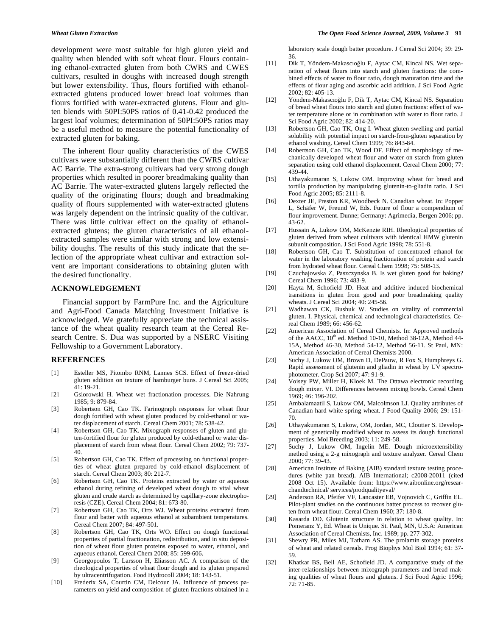development were most suitable for high gluten yield and quality when blended with soft wheat flour. Flours containing ethanol-extracted gluten from both CWRS and CWES cultivars, resulted in doughs with increased dough strength but lower extensibility. Thus, flours fortified with ethanolextracted glutens produced lower bread loaf volumes than flours fortified with water-extracted glutens. Flour and gluten blends with 50PI:50PS ratios of 0.41-0.42 produced the largest loaf volumes; determination of 50PI:50PS ratios may be a useful method to measure the potential functionality of extracted gluten for baking.

The inherent flour quality characteristics of the CWES cultivars were substantially different than the CWRS cultivar AC Barrie. The extra-strong cultivars had very strong dough properties which resulted in poorer breadmaking quality than AC Barrie. The water-extracted glutens largely reflected the quality of the originating flours; dough and breadmaking quality of flours supplemented with water-extracted glutens was largely dependent on the intrinsic quality of the cultivar. There was little cultivar effect on the quality of ethanolextracted glutens; the gluten characteristics of all ethanolextracted samples were similar with strong and low extensibility doughs. The results of this study indicate that the selection of the appropriate wheat cultivar and extraction solvent are important considerations to obtaining gluten with the desired functionality.

# **ACKNOWLEDGEMENT**

Financial support by FarmPure Inc. and the Agriculture and Agri-Food Canada Matching Investment Initiative is acknowledged. We gratefully appreciate the technical assistance of the wheat quality research team at the Cereal Research Centre. S. Dua was supported by a NSERC Visiting Fellowship to a Government Laboratory.

# **REFERENCES**

- [1] Esteller MS, Pitombo RNM, Lannes SCS. Effect of freeze-dried gluten addition on texture of hamburger buns. J Cereal Sci 2005; 41: 19-21.
- [2] Gsiorowski H. Wheat wet fractionation processes. Die Nahrung 1985; 9: 879-84.
- [3] Robertson GH, Cao TK. Farinograph responses for wheat flour dough fortified with wheat gluten produced by cold-ethanol or water displacement of starch. Cereal Chem 2001; 78: 538-42.
- [4] Robertson GH, Cao TK. Mixograph responses of gluten and gluten-fortified flour for gluten produced by cold-ethanol or water displacement of starch from wheat flour. Cereal Chem 2002; 79: 737- 40.
- [5] Robertson GH, Cao TK. Effect of processing on functional properties of wheat gluten prepared by cold-ethanol displacement of starch. Cereal Chem 2003; 80: 212-7.
- [6] Robertson GH, Cao TK. Proteins extracted by water or aqueous ethanol during refining of developed wheat dough to vital wheat gluten and crude starch as determined by capillary-zone electrophoresis (CZE). Cereal Chem 2004; 81: 673-80.
- [7] Robertson GH, Cao TK, Orts WJ. Wheat proteins extracted from flour and batter with aqueous ethanol at subambient temperatures. Cereal Chem 2007; 84: 497-501.
- [8] Robertson GH, Cao TK, Orts WO. Effect on dough functional properties of partial fractionation, redistribution, and in situ deposition of wheat flour gluten proteins exposed to water, ethanol, and aqueous ethanol. Cereal Chem 2008; 85: 599-606.
- [9] Georgopoulos T, Larsson H, Eliasson AC. A comparison of the rheological properties of wheat flour dough and its gluten prepared by ultracentrifugation. Food Hydrocoll 2004; 18: 143-51.
- [10] Frederix SA, Courtin CM, Delcour JA. Influence of process parameters on yield and composition of gluten fractions obtained in a

laboratory scale dough batter procedure. J Cereal Sci 2004; 39: 29- 36.

- [11] Dik T, Yöndem-Makascıoğlu F, Aytac CM, Kincal NS. Wet separation of wheat flours into starch and gluten fractions: the combined effects of water to flour ratio, dough maturation time and the effects of flour aging and ascorbic acid addition. J Sci Food Agric 2002; 82: 405-13.
- [12] Yöndem-Makascıoğlu F, Dik T, Aytac CM, Kincal NS. Separation of bread wheat flours into starch and gluten fractions: effect of water temperature alone or in combination with water to flour ratio. J Sci Food Agric 2002; 82: 414-20.
- [13] Robertson GH, Cao TK, Ong I. Wheat gluten swelling and partial solubility with potential impact on starch-from-gluten separation by ethanol washing. Cereal Chem 1999; 76: 843-84.
- [14] Robertson GH, Cao TK, Wood DF. Effect of morphology of mechanically developed wheat flour and water on starch from gluten separation using cold ethanol displacement. Cereal Chem 2000; 77: 439-44.
- [15] Uthayakumaran S, Lukow OM. Improving wheat for bread and tortilla production by manipulating glutenin-to-gliadin ratio. J Sci Food Agric 2005; 85: 2111-8.
- [16] Dexter JE, Preston KR, Woodbeck N. Canadian wheat. In: Popper L, Schäfer W, Freund W, Eds. Future of flour a compendium of flour improvement. Dunne; Germany: Agrimedia, Bergen 2006; pp. 43-62.
- [17] Hussain A, Lukow OM, McKenzie RIH. Rheological properties of gluten derived from wheat cultivars with identical HMW glutenin subunit composition. J Sci Food Agric 1998; 78: 551-8.
- [18] Robertson GH, Cao T. Substitution of concentrated ethanol for water in the laboratory washing fractionation of protein and starch from hydrated wheat flour. Cereal Chem 1998; 75: 508-13.
- [19] Czuchajowska Z, Paszczynska B. Is wet gluten good for baking? Cereal Chem 1996; 73: 483-9.
- [20] Hayta M, Schofield JD. Heat and additive induced biochemical transitions in gluten from good and poor breadmaking quality wheats. J Cereal Sci 2004; 40: 245-56.
- [21] Wadhawan CK, Bushuk W. Studies on vitality of commercial gluten. I. Physical, chemical and technological characteristics. Cereal Chem 1989; 66: 456-62.
- [22] American Association of Cereal Chemists. In: Approved methods of the AACC,  $10^{th}$  ed. Method 10-10, Method 38-12A, Method 44-15A, Method 46-30, Method 54-12, Method 56-11. St Paul, MN: American Association of Cereal Chemists 2000.
- [23] Suchy J, Lukow OM, Brown D, DePauw, R Fox S, Humphreys G. Rapid assessment of glutenin and gliadin in wheat by UV spectrophotometer. Crop Sci 2007; 47: 91-9.
- [24] Voisey PW, Miller H, Kloek M. The Ottawa electronic recording dough mixer. VI. Differences between mixing bowls. Cereal Chem 1969; 46: 196-202.
- [25] Ambalamaatil S, Lukow OM, Malcolmson LJ. Quality attributes of Canadian hard white spring wheat. J Food Quality 2006; 29: 151- 70.
- [26] Uthayakumaran S, Lukow, OM, Jordan, MC, Cloutier S. Development of genetically modified wheat to assess its dough functional properties. Mol Breeding 2003; 11: 249-58.
- [27] Suchy J, Lukow OM, Ingelin ME. Dough microextensibility method using a 2-g mixograph and texture analyzer. Cereal Chem 2000; 77: 39-43.
- [28] American Institute of Baking (AIB) standard texture testing procedures (white pan bread). AIB International; c2008-20011 (cited 2008 Oct 15). Available from: https://www.aibonline.org/researchandtechnical/ services/prodqualityeval/
- [29] Anderson RA, Pfeifer VF, Lancaster EB, Vojnovich C, Griffin EL. Pilot-plant studies on the continuous batter process to recover gluten from wheat flour. Cereal Chem 1960; 37: 180-8.
- [30] Kasarda DD. Glutenin structure in relation to wheat quality. In: Pomeranz Y, Ed. Wheat is Unique. St. Paul, MN, U.S.A: American Association of Cereal Chemists, Inc. 1989; pp. 277-302.
- [31] Shewry PR, Miles MJ, Tatham AS. The prolamin storage proteins of wheat and related cereals. Prog Biophys Mol Biol 1994; 61: 37- 59.
- [32] Khatkar BS, Bell AE, Schofield JD. A comparative study of the inter-relationships between mixograph parameters and bread making qualities of wheat flours and glutens. J Sci Food Agric 1996; 72: 71-85.